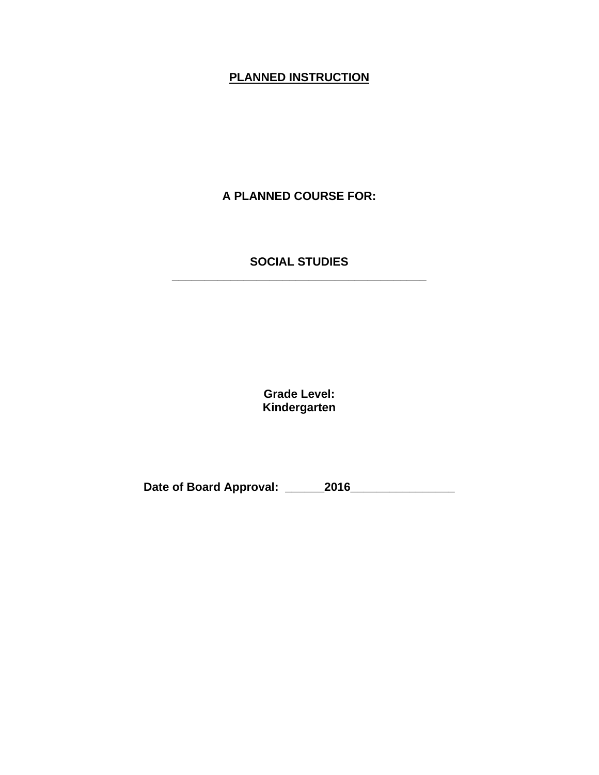# **PLANNED INSTRUCTION**

**A PLANNED COURSE FOR:**

#### **SOCIAL STUDIES \_\_\_\_\_\_\_\_\_\_\_\_\_\_\_\_\_\_\_\_\_\_\_\_\_\_\_\_\_\_\_\_\_\_\_\_\_\_\_**

**Grade Level: Kindergarten**

**Date of Board Approval: \_\_\_\_\_\_2016\_\_\_\_\_\_\_\_\_\_\_\_\_\_\_\_**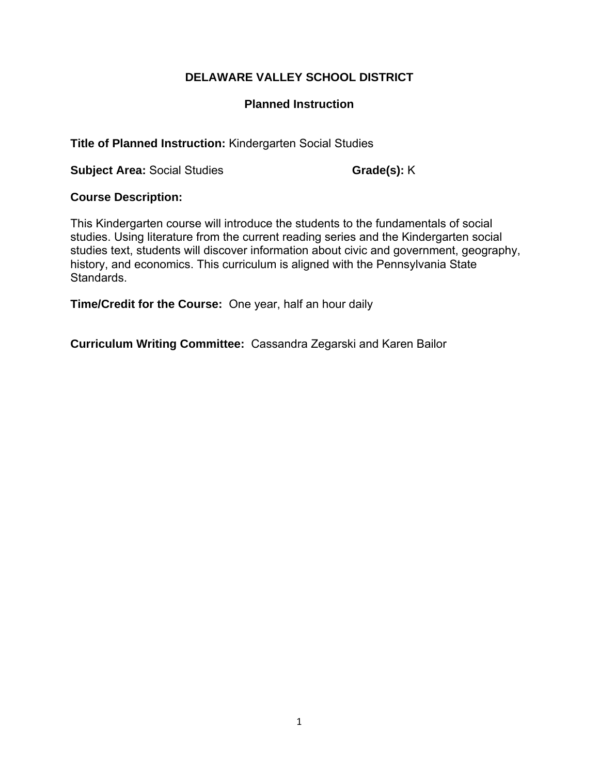## **Planned Instruction**

**Title of Planned Instruction:** Kindergarten Social Studies

**Subject Area:** Social Studies **Grade(s): K** 

## **Course Description:**

This Kindergarten course will introduce the students to the fundamentals of social studies. Using literature from the current reading series and the Kindergarten social studies text, students will discover information about civic and government, geography, history, and economics. This curriculum is aligned with the Pennsylvania State Standards.

**Time/Credit for the Course:** One year, half an hour daily

**Curriculum Writing Committee:** Cassandra Zegarski and Karen Bailor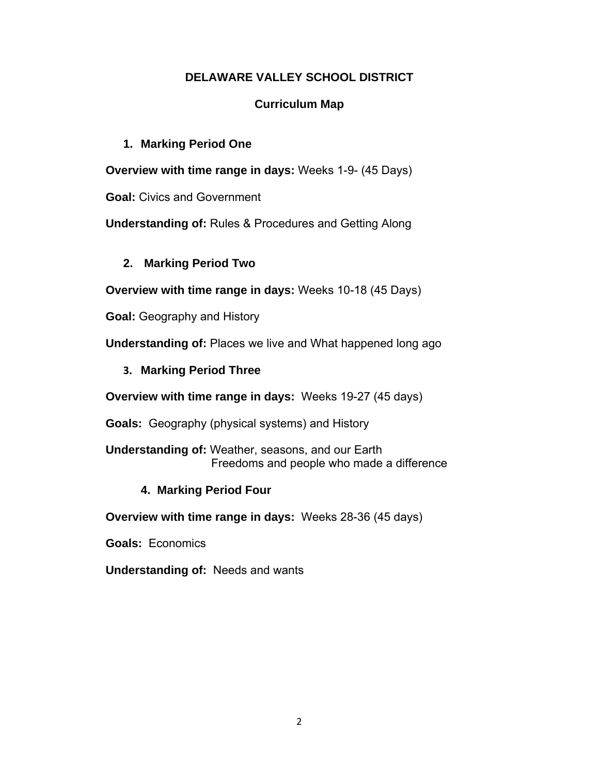# **Curriculum Map**

## **1. Marking Period One**

**Overview with time range in days:** Weeks 1-9- (45 Days)

**Goal:** Civics and Government

**Understanding of:** Rules & Procedures and Getting Along

# **2. Marking Period Two**

**Overview with time range in days:** Weeks 10-18 (45 Days)

**Goal:** Geography and History

**Understanding of:** Places we live and What happened long ago

**3. Marking Period Three** 

**Overview with time range in days:** Weeks 19-27 (45 days)

**Goals:** Geography (physical systems) and History

**Understanding of:** Weather, seasons, and our Earth Freedoms and people who made a difference

# **4. Marking Period Four**

**Overview with time range in days:** Weeks 28-36 (45 days)

**Goals:** Economics

**Understanding of:** Needs and wants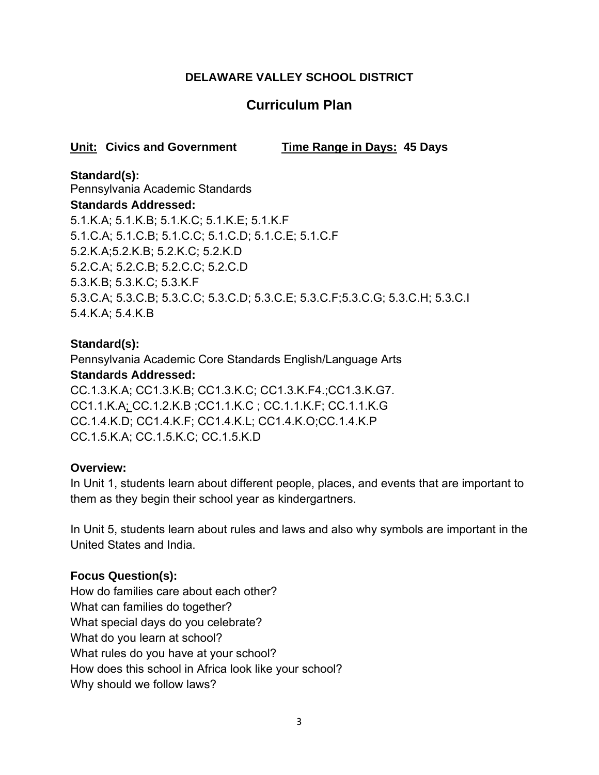# **Curriculum Plan**

# **Unit: Civics and Government Time Range in Days: 45 Days**

# **Standard(s):**

Pennsylvania Academic Standards **Standards Addressed:** 5.1.K.A; 5.1.K.B; 5.1.K.C; 5.1.K.E; 5.1.K.F 5.1.C.A; 5.1.C.B; 5.1.C.C; 5.1.C.D; 5.1.C.E; 5.1.C.F 5.2.K.A;5.2.K.B; 5.2.K.C; 5.2.K.D 5.2.C.A; 5.2.C.B; 5.2.C.C; 5.2.C.D 5.3.K.B; 5.3.K.C; 5.3.K.F 5.3.C.A; 5.3.C.B; 5.3.C.C; 5.3.C.D; 5.3.C.E; 5.3.C.F;5.3.C.G; 5.3.C.H; 5.3.C.I 5.4.K.A; 5.4.K.B

# **Standard(s):**

Pennsylvania Academic Core Standards English/Language Arts **Standards Addressed:**  CC.1.3.K.A; CC1.3.K.B; CC1.3.K.C; CC1.3.K.F4.;CC1.3.K.G7. CC1.1.K.A; CC.1.2.K.B ;CC1.1.K.C ; CC.1.1.K.F; CC.1.1.K.G CC.1.4.K.D; CC1.4.K.F; CC1.4.K.L; CC1.4.K.O;CC.1.4.K.P CC.1.5.K.A; CC.1.5.K.C; CC.1.5.K.D

#### **Overview:**

In Unit 1, students learn about different people, places, and events that are important to them as they begin their school year as kindergartners.

In Unit 5, students learn about rules and laws and also why symbols are important in the United States and India.

# **Focus Question(s):**

How do families care about each other? What can families do together? What special days do you celebrate? What do you learn at school? What rules do you have at your school? How does this school in Africa look like your school? Why should we follow laws?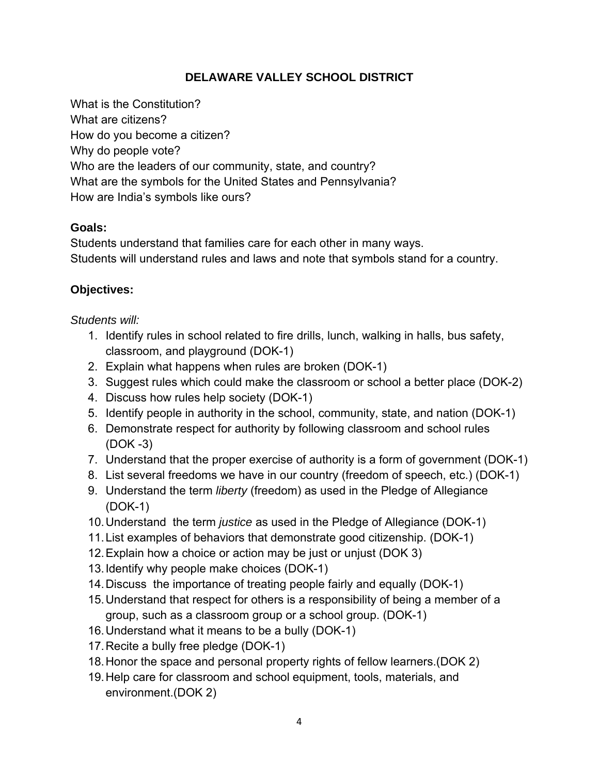What is the Constitution? What are citizens? How do you become a citizen? Why do people vote? Who are the leaders of our community, state, and country? What are the symbols for the United States and Pennsylvania? How are India's symbols like ours?

#### **Goals:**

Students understand that families care for each other in many ways. Students will understand rules and laws and note that symbols stand for a country.

# **Objectives:**

# *Students will:*

- 1. Identify rules in school related to fire drills, lunch, walking in halls, bus safety, classroom, and playground (DOK-1)
- 2. Explain what happens when rules are broken (DOK-1)
- 3. Suggest rules which could make the classroom or school a better place (DOK-2)
- 4. Discuss how rules help society (DOK-1)
- 5. Identify people in authority in the school, community, state, and nation (DOK-1)
- 6. Demonstrate respect for authority by following classroom and school rules (DOK -3)
- 7. Understand that the proper exercise of authority is a form of government (DOK-1)
- 8. List several freedoms we have in our country (freedom of speech, etc.) (DOK-1)
- 9. Understand the term *liberty* (freedom) as used in the Pledge of Allegiance (DOK-1)
- 10. Understand the term *justice* as used in the Pledge of Allegiance (DOK-1)
- 11. List examples of behaviors that demonstrate good citizenship. (DOK-1)
- 12. Explain how a choice or action may be just or unjust (DOK 3)
- 13. Identify why people make choices (DOK-1)
- 14. Discuss the importance of treating people fairly and equally (DOK-1)
- 15. Understand that respect for others is a responsibility of being a member of a group, such as a classroom group or a school group. (DOK-1)
- 16. Understand what it means to be a bully (DOK-1)
- 17. Recite a bully free pledge (DOK-1)
- 18. Honor the space and personal property rights of fellow learners.(DOK 2)
- 19. Help care for classroom and school equipment, tools, materials, and environment.(DOK 2)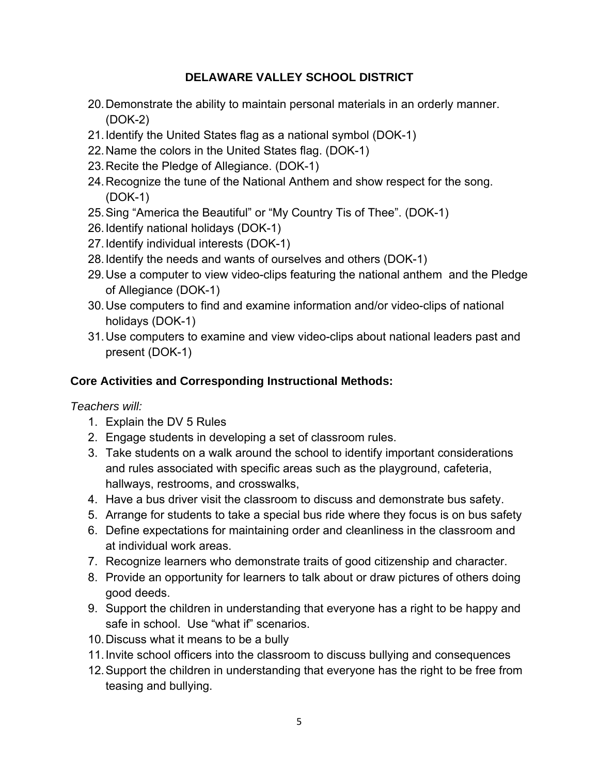- 20. Demonstrate the ability to maintain personal materials in an orderly manner. (DOK-2)
- 21. Identify the United States flag as a national symbol (DOK-1)
- 22. Name the colors in the United States flag. (DOK-1)
- 23. Recite the Pledge of Allegiance. (DOK-1)
- 24. Recognize the tune of the National Anthem and show respect for the song. (DOK-1)
- 25. Sing "America the Beautiful" or "My Country Tis of Thee". (DOK-1)
- 26. Identify national holidays (DOK-1)
- 27. Identify individual interests (DOK-1)
- 28. Identify the needs and wants of ourselves and others (DOK-1)
- 29. Use a computer to view video-clips featuring the national anthem and the Pledge of Allegiance (DOK-1)
- 30. Use computers to find and examine information and/or video-clips of national holidays (DOK-1)
- 31. Use computers to examine and view video-clips about national leaders past and present (DOK-1)

# **Core Activities and Corresponding Instructional Methods:**

*Teachers will:*

- 1. Explain the DV 5 Rules
- 2. Engage students in developing a set of classroom rules.
- 3. Take students on a walk around the school to identify important considerations and rules associated with specific areas such as the playground, cafeteria, hallways, restrooms, and crosswalks,
- 4. Have a bus driver visit the classroom to discuss and demonstrate bus safety.
- 5. Arrange for students to take a special bus ride where they focus is on bus safety
- 6. Define expectations for maintaining order and cleanliness in the classroom and at individual work areas.
- 7. Recognize learners who demonstrate traits of good citizenship and character.
- 8. Provide an opportunity for learners to talk about or draw pictures of others doing good deeds.
- 9. Support the children in understanding that everyone has a right to be happy and safe in school. Use "what if" scenarios.
- 10. Discuss what it means to be a bully
- 11. Invite school officers into the classroom to discuss bullying and consequences
- 12. Support the children in understanding that everyone has the right to be free from teasing and bullying.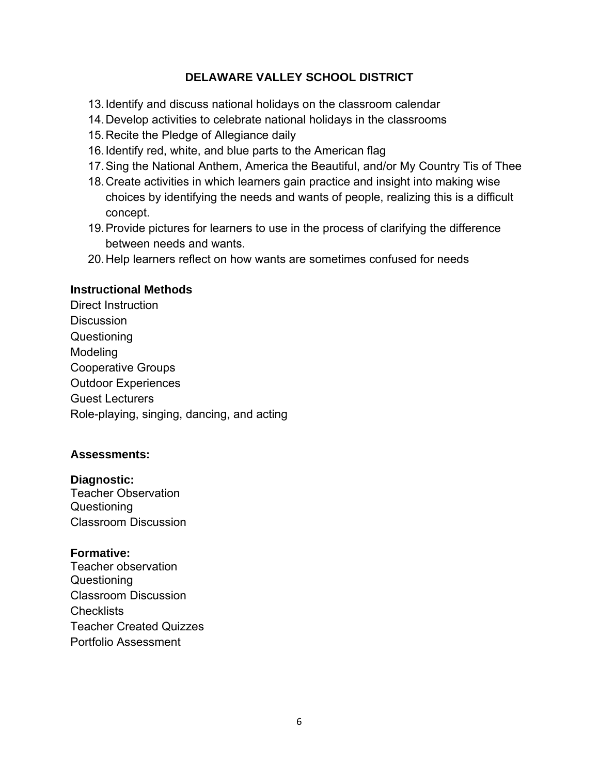- 13. Identify and discuss national holidays on the classroom calendar
- 14. Develop activities to celebrate national holidays in the classrooms
- 15. Recite the Pledge of Allegiance daily
- 16. Identify red, white, and blue parts to the American flag
- 17. Sing the National Anthem, America the Beautiful, and/or My Country Tis of Thee
- 18. Create activities in which learners gain practice and insight into making wise choices by identifying the needs and wants of people, realizing this is a difficult concept.
- 19. Provide pictures for learners to use in the process of clarifying the difference between needs and wants.
- 20. Help learners reflect on how wants are sometimes confused for needs

#### **Instructional Methods**

Direct Instruction **Discussion** Questioning Modeling Cooperative Groups Outdoor Experiences Guest Lecturers Role-playing, singing, dancing, and acting

#### **Assessments:**

#### **Diagnostic:**

Teacher Observation Questioning Classroom Discussion

#### **Formative:**

Teacher observation Questioning Classroom Discussion **Checklists** Teacher Created Quizzes Portfolio Assessment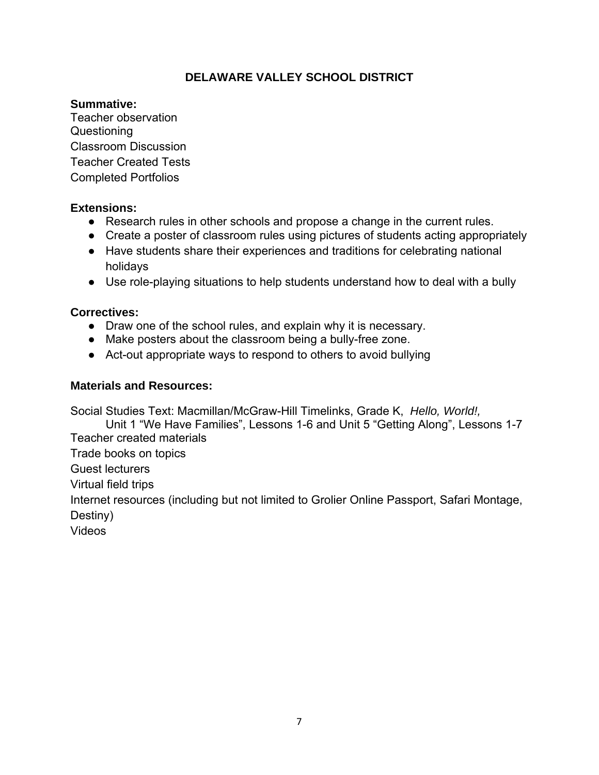#### **Summative:**

Teacher observation Questioning Classroom Discussion Teacher Created Tests Completed Portfolios

#### **Extensions:**

- Research rules in other schools and propose a change in the current rules.
- Create a poster of classroom rules using pictures of students acting appropriately
- Have students share their experiences and traditions for celebrating national holidays
- Use role-playing situations to help students understand how to deal with a bully

#### **Correctives:**

- Draw one of the school rules, and explain why it is necessary.
- Make posters about the classroom being a bully-free zone.
- Act-out appropriate ways to respond to others to avoid bullying

#### **Materials and Resources:**

Social Studies Text: Macmillan/McGraw-Hill Timelinks, Grade K, *Hello, World!,* 

Unit 1 "We Have Families", Lessons 1-6 and Unit 5 "Getting Along", Lessons 1-7 Teacher created materials

Trade books on topics

Guest lecturers

Virtual field trips

Internet resources (including but not limited to Grolier Online Passport, Safari Montage, Destiny)

Videos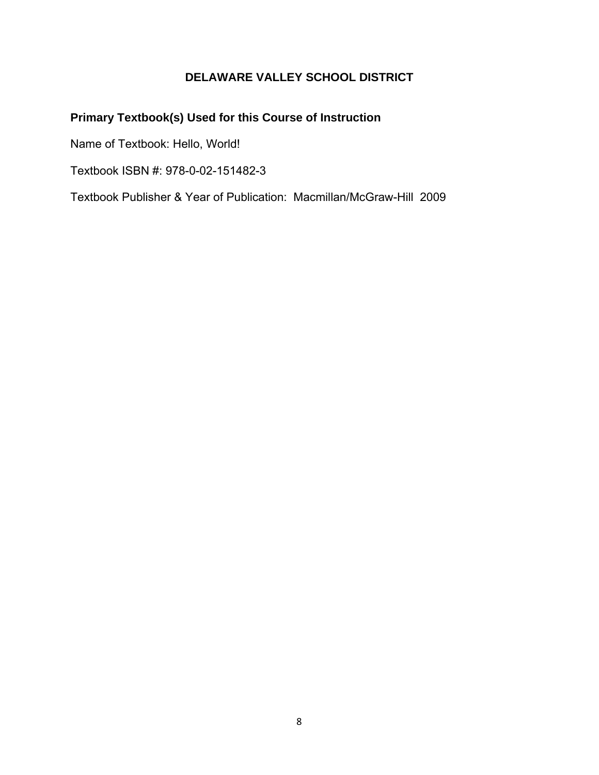# **Primary Textbook(s) Used for this Course of Instruction**

Name of Textbook: Hello, World!

Textbook ISBN #: 978-0-02-151482-3

Textbook Publisher & Year of Publication: Macmillan/McGraw-Hill 2009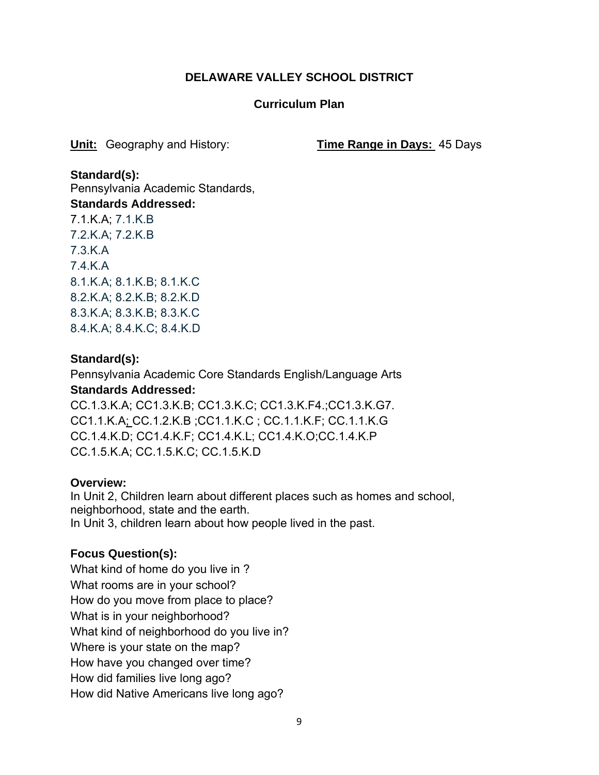#### **Curriculum Plan**

**Unit:** Geography and History: **Time Range in Days:** 45 Days

**Standard(s):**  Pennsylvania Academic Standards, **Standards Addressed:** 7.1.K.A; 7.1.K.B 7.2.K.A; 7.2.K.B 7.3.K.A 7.4.K.A 8.1.K.A; 8.1.K.B; 8.1.K.C 8.2.K.A; 8.2.K.B; 8.2.K.D 8.3.K.A; 8.3.K.B; 8.3.K.C 8.4.K.A; 8.4.K.C; 8.4.K.D

#### **Standard(s):**

Pennsylvania Academic Core Standards English/Language Arts **Standards Addressed:** 

CC.1.3.K.A; CC1.3.K.B; CC1.3.K.C; CC1.3.K.F4.;CC1.3.K.G7. CC1.1.K.A; CC.1.2.K.B ;CC1.1.K.C ; CC.1.1.K.F; CC.1.1.K.G CC.1.4.K.D; CC1.4.K.F; CC1.4.K.L; CC1.4.K.O;CC.1.4.K.P CC.1.5.K.A; CC.1.5.K.C; CC.1.5.K.D

#### **Overview:**

In Unit 2, Children learn about different places such as homes and school, neighborhood, state and the earth. In Unit 3, children learn about how people lived in the past.

# **Focus Question(s):**

What kind of home do you live in ? What rooms are in your school? How do you move from place to place? What is in your neighborhood? What kind of neighborhood do you live in? Where is your state on the map? How have you changed over time? How did families live long ago? How did Native Americans live long ago?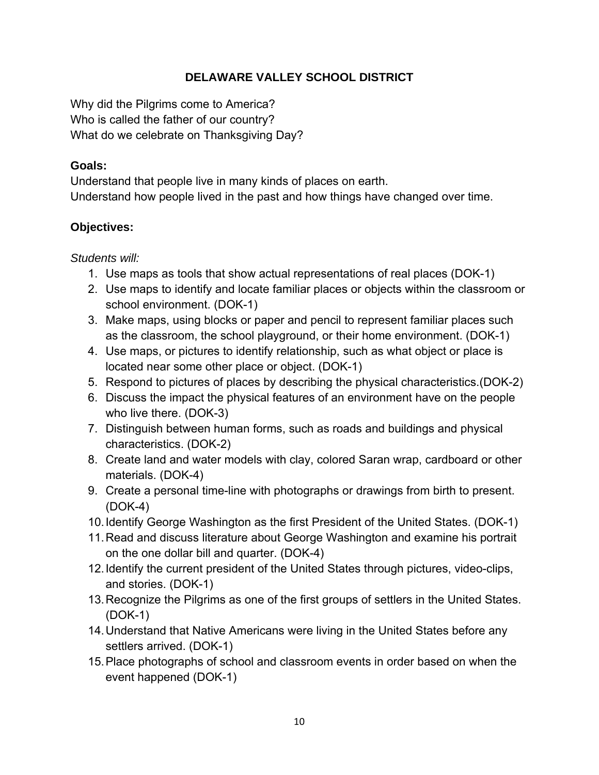Why did the Pilgrims come to America? Who is called the father of our country? What do we celebrate on Thanksgiving Day?

## **Goals:**

Understand that people live in many kinds of places on earth. Understand how people lived in the past and how things have changed over time.

# **Objectives:**

*Students will:*

- 1. Use maps as tools that show actual representations of real places (DOK-1)
- 2. Use maps to identify and locate familiar places or objects within the classroom or school environment. (DOK-1)
- 3. Make maps, using blocks or paper and pencil to represent familiar places such as the classroom, the school playground, or their home environment. (DOK-1)
- 4. Use maps, or pictures to identify relationship, such as what object or place is located near some other place or object. (DOK-1)
- 5. Respond to pictures of places by describing the physical characteristics.(DOK-2)
- 6. Discuss the impact the physical features of an environment have on the people who live there. (DOK-3)
- 7. Distinguish between human forms, such as roads and buildings and physical characteristics. (DOK-2)
- 8. Create land and water models with clay, colored Saran wrap, cardboard or other materials. (DOK-4)
- 9. Create a personal time-line with photographs or drawings from birth to present. (DOK-4)
- 10. Identify George Washington as the first President of the United States. (DOK-1)
- 11. Read and discuss literature about George Washington and examine his portrait on the one dollar bill and quarter. (DOK-4)
- 12. Identify the current president of the United States through pictures, video-clips, and stories. (DOK-1)
- 13. Recognize the Pilgrims as one of the first groups of settlers in the United States. (DOK-1)
- 14. Understand that Native Americans were living in the United States before any settlers arrived. (DOK-1)
- 15. Place photographs of school and classroom events in order based on when the event happened (DOK-1)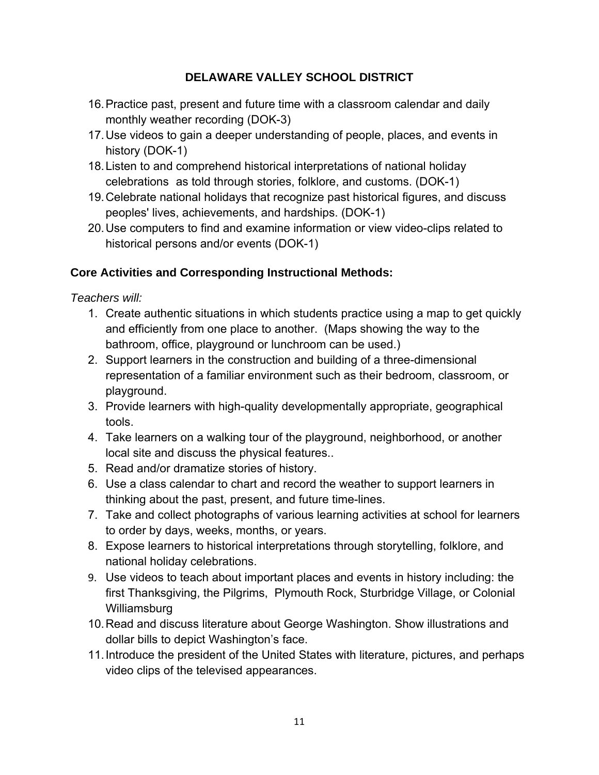- 16. Practice past, present and future time with a classroom calendar and daily monthly weather recording (DOK-3)
- 17. Use videos to gain a deeper understanding of people, places, and events in history (DOK-1)
- 18. Listen to and comprehend historical interpretations of national holiday celebrations as told through stories, folklore, and customs. (DOK-1)
- 19. Celebrate national holidays that recognize past historical figures, and discuss peoples' lives, achievements, and hardships. (DOK-1)
- 20. Use computers to find and examine information or view video-clips related to historical persons and/or events (DOK-1)

# **Core Activities and Corresponding Instructional Methods:**

*Teachers will:*

- 1. Create authentic situations in which students practice using a map to get quickly and efficiently from one place to another. (Maps showing the way to the bathroom, office, playground or lunchroom can be used.)
- 2. Support learners in the construction and building of a three-dimensional representation of a familiar environment such as their bedroom, classroom, or playground.
- 3. Provide learners with high-quality developmentally appropriate, geographical tools.
- 4. Take learners on a walking tour of the playground, neighborhood, or another local site and discuss the physical features..
- 5. Read and/or dramatize stories of history.
- 6. Use a class calendar to chart and record the weather to support learners in thinking about the past, present, and future time-lines.
- 7. Take and collect photographs of various learning activities at school for learners to order by days, weeks, months, or years.
- 8. Expose learners to historical interpretations through storytelling, folklore, and national holiday celebrations.
- 9. Use videos to teach about important places and events in history including: the first Thanksgiving, the Pilgrims, Plymouth Rock, Sturbridge Village, or Colonial Williamsburg
- 10. Read and discuss literature about George Washington. Show illustrations and dollar bills to depict Washington's face.
- 11. Introduce the president of the United States with literature, pictures, and perhaps video clips of the televised appearances.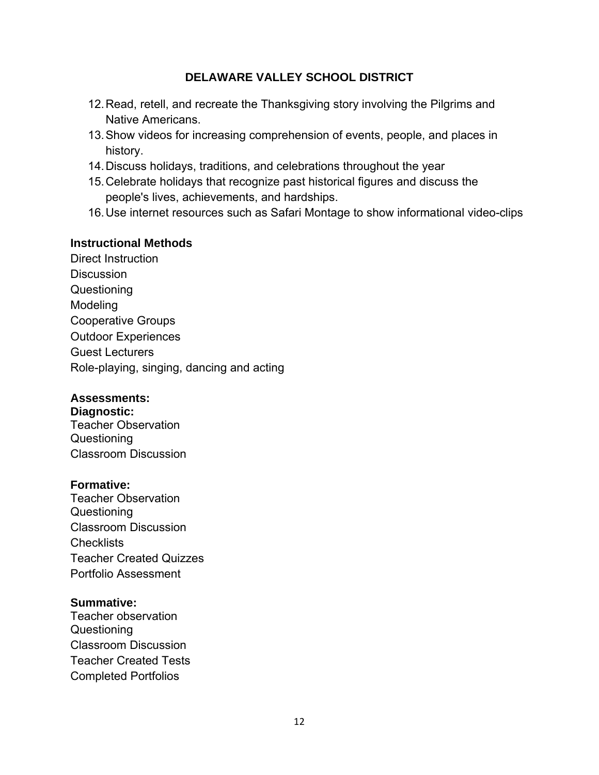- 12. Read, retell, and recreate the Thanksgiving story involving the Pilgrims and Native Americans.
- 13. Show videos for increasing comprehension of events, people, and places in history.
- 14. Discuss holidays, traditions, and celebrations throughout the year
- 15. Celebrate holidays that recognize past historical figures and discuss the people's lives, achievements, and hardships.
- 16. Use internet resources such as Safari Montage to show informational video-clips

#### **Instructional Methods**

Direct Instruction **Discussion Questioning** Modeling Cooperative Groups Outdoor Experiences Guest Lecturers Role-playing, singing, dancing and acting

#### **Assessments:**

**Diagnostic:** Teacher Observation Questioning Classroom Discussion

#### **Formative:**

Teacher Observation Questioning Classroom Discussion **Checklists** Teacher Created Quizzes Portfolio Assessment

#### **Summative:**

Teacher observation Questioning Classroom Discussion Teacher Created Tests Completed Portfolios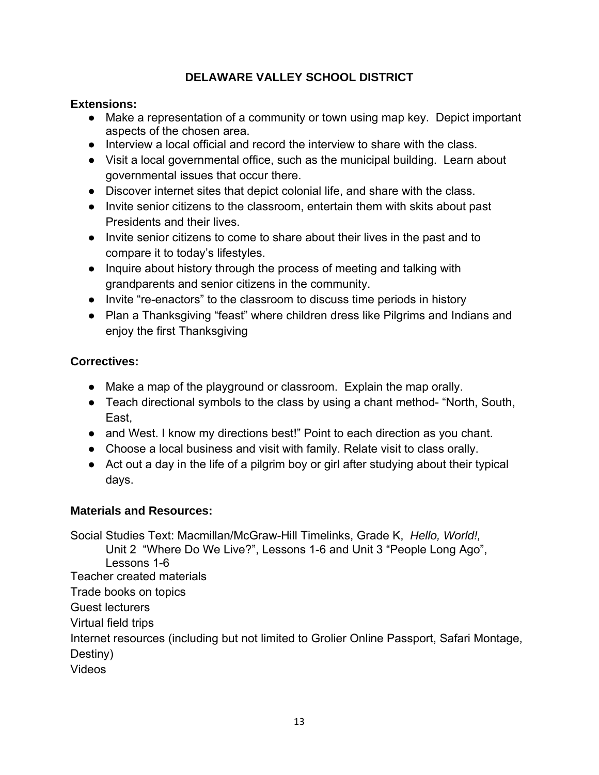# **Extensions:**

- Make a representation of a community or town using map key. Depict important aspects of the chosen area.
- Interview a local official and record the interview to share with the class.
- Visit a local governmental office, such as the municipal building. Learn about governmental issues that occur there.
- Discover internet sites that depict colonial life, and share with the class.
- Invite senior citizens to the classroom, entertain them with skits about past Presidents and their lives.
- Invite senior citizens to come to share about their lives in the past and to compare it to today's lifestyles.
- Inquire about history through the process of meeting and talking with grandparents and senior citizens in the community.
- Invite "re-enactors" to the classroom to discuss time periods in history
- Plan a Thanksgiving "feast" where children dress like Pilgrims and Indians and enjoy the first Thanksgiving

# **Correctives:**

- Make a map of the playground or classroom. Explain the map orally.
- Teach directional symbols to the class by using a chant method- "North, South, East,
- and West. I know my directions best!" Point to each direction as you chant.
- Choose a local business and visit with family. Relate visit to class orally.
- Act out a day in the life of a pilgrim boy or girl after studying about their typical days.

# **Materials and Resources:**

Social Studies Text: Macmillan/McGraw-Hill Timelinks, Grade K, *Hello, World!,*  Unit 2 "Where Do We Live?", Lessons 1-6 and Unit 3 "People Long Ago", Lessons 1-6 Teacher created materials Trade books on topics Guest lecturers Virtual field trips Internet resources (including but not limited to Grolier Online Passport, Safari Montage, Destiny)

Videos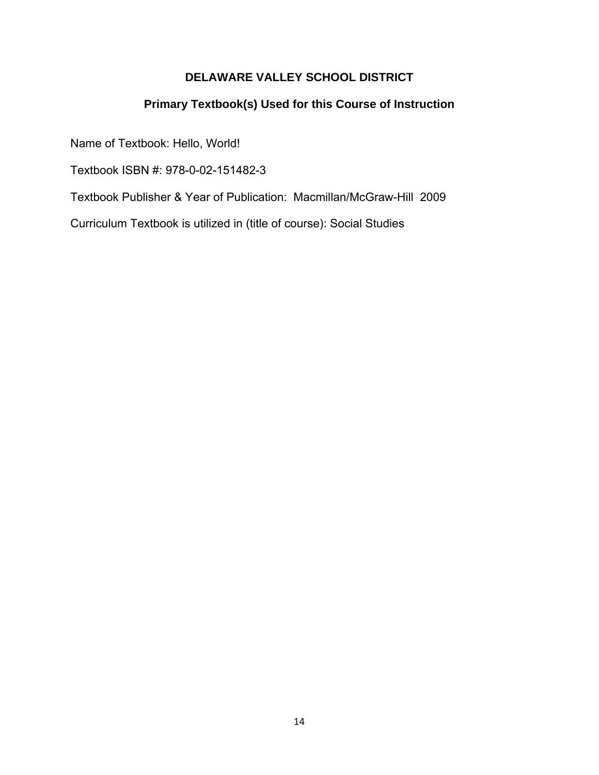## **Primary Textbook(s) Used for this Course of Instruction**

Name of Textbook: Hello, World!

Textbook ISBN #: 978-0-02-151482-3

Textbook Publisher & Year of Publication: Macmillan/McGraw-Hill 2009

Curriculum Textbook is utilized in (title of course): Social Studies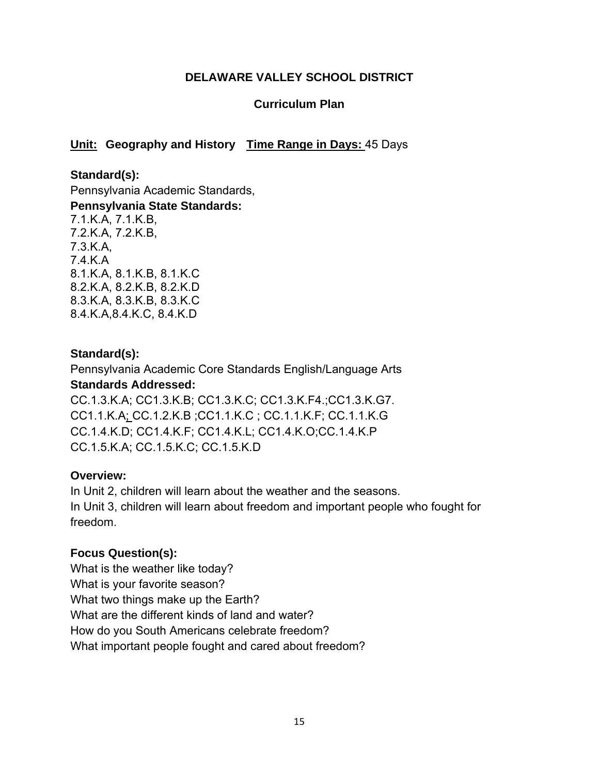#### **Curriculum Plan**

# **Unit: Geography and History Time Range in Days:** 45 Days

**Standard(s):**  Pennsylvania Academic Standards, **Pennsylvania State Standards:**  7.1.K.A, 7.1.K.B, 7.2.K.A, 7.2.K.B, 7.3.K.A, 7.4.K.A 8.1.K.A, 8.1.K.B, 8.1.K.C 8.2.K.A, 8.2.K.B, 8.2.K.D 8.3.K.A, 8.3.K.B, 8.3.K.C 8.4.K.A,8.4.K.C, 8.4.K.D

#### **Standard(s):**

Pennsylvania Academic Core Standards English/Language Arts **Standards Addressed:**  CC.1.3.K.A; CC1.3.K.B; CC1.3.K.C; CC1.3.K.F4.;CC1.3.K.G7. CC1.1.K.A; CC.1.2.K.B ;CC1.1.K.C ; CC.1.1.K.F; CC.1.1.K.G CC.1.4.K.D; CC1.4.K.F; CC1.4.K.L; CC1.4.K.O;CC.1.4.K.P CC.1.5.K.A; CC.1.5.K.C; CC.1.5.K.D

#### **Overview:**

In Unit 2, children will learn about the weather and the seasons. In Unit 3, children will learn about freedom and important people who fought for freedom.

#### **Focus Question(s):**

What is the weather like today? What is your favorite season? What two things make up the Earth? What are the different kinds of land and water? How do you South Americans celebrate freedom? What important people fought and cared about freedom?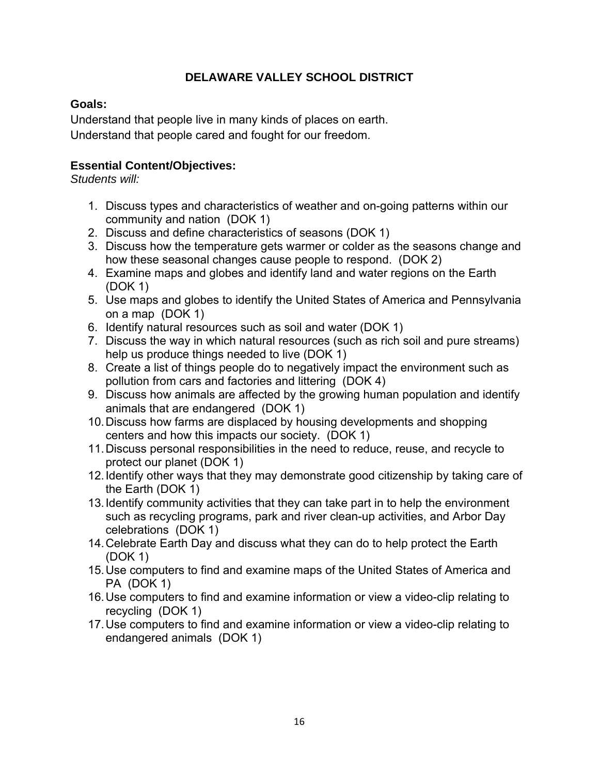## **Goals:**

Understand that people live in many kinds of places on earth. Understand that people cared and fought for our freedom.

# **Essential Content/Objectives:**

*Students will:*

- 1. Discuss types and characteristics of weather and on-going patterns within our community and nation (DOK 1)
- 2. Discuss and define characteristics of seasons (DOK 1)
- 3. Discuss how the temperature gets warmer or colder as the seasons change and how these seasonal changes cause people to respond. (DOK 2)
- 4. Examine maps and globes and identify land and water regions on the Earth (DOK 1)
- 5. Use maps and globes to identify the United States of America and Pennsylvania on a map (DOK 1)
- 6. Identify natural resources such as soil and water (DOK 1)
- 7. Discuss the way in which natural resources (such as rich soil and pure streams) help us produce things needed to live (DOK 1)
- 8. Create a list of things people do to negatively impact the environment such as pollution from cars and factories and littering (DOK 4)
- 9. Discuss how animals are affected by the growing human population and identify animals that are endangered (DOK 1)
- 10. Discuss how farms are displaced by housing developments and shopping centers and how this impacts our society. (DOK 1)
- 11. Discuss personal responsibilities in the need to reduce, reuse, and recycle to protect our planet (DOK 1)
- 12. Identify other ways that they may demonstrate good citizenship by taking care of the Earth (DOK 1)
- 13. Identify community activities that they can take part in to help the environment such as recycling programs, park and river clean-up activities, and Arbor Day celebrations (DOK 1)
- 14. Celebrate Earth Day and discuss what they can do to help protect the Earth (DOK 1)
- 15. Use computers to find and examine maps of the United States of America and PA (DOK 1)
- 16. Use computers to find and examine information or view a video-clip relating to recycling (DOK 1)
- 17. Use computers to find and examine information or view a video-clip relating to endangered animals (DOK 1)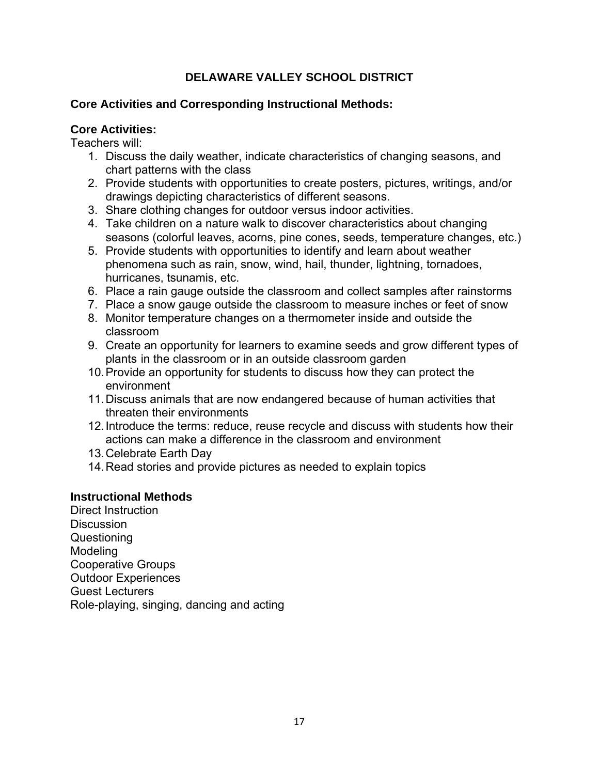#### **Core Activities and Corresponding Instructional Methods:**

#### **Core Activities:**

Teachers will:

- 1. Discuss the daily weather, indicate characteristics of changing seasons, and chart patterns with the class
- 2. Provide students with opportunities to create posters, pictures, writings, and/or drawings depicting characteristics of different seasons.
- 3. Share clothing changes for outdoor versus indoor activities.
- 4. Take children on a nature walk to discover characteristics about changing seasons (colorful leaves, acorns, pine cones, seeds, temperature changes, etc.)
- 5. Provide students with opportunities to identify and learn about weather phenomena such as rain, snow, wind, hail, thunder, lightning, tornadoes, hurricanes, tsunamis, etc.
- 6. Place a rain gauge outside the classroom and collect samples after rainstorms
- 7. Place a snow gauge outside the classroom to measure inches or feet of snow
- 8. Monitor temperature changes on a thermometer inside and outside the classroom
- 9. Create an opportunity for learners to examine seeds and grow different types of plants in the classroom or in an outside classroom garden
- 10. Provide an opportunity for students to discuss how they can protect the environment
- 11. Discuss animals that are now endangered because of human activities that threaten their environments
- 12. Introduce the terms: reduce, reuse recycle and discuss with students how their actions can make a difference in the classroom and environment
- 13. Celebrate Earth Day
- 14. Read stories and provide pictures as needed to explain topics

# **Instructional Methods**

Direct Instruction **Discussion** Questioning **Modeling** Cooperative Groups Outdoor Experiences Guest Lecturers Role-playing, singing, dancing and acting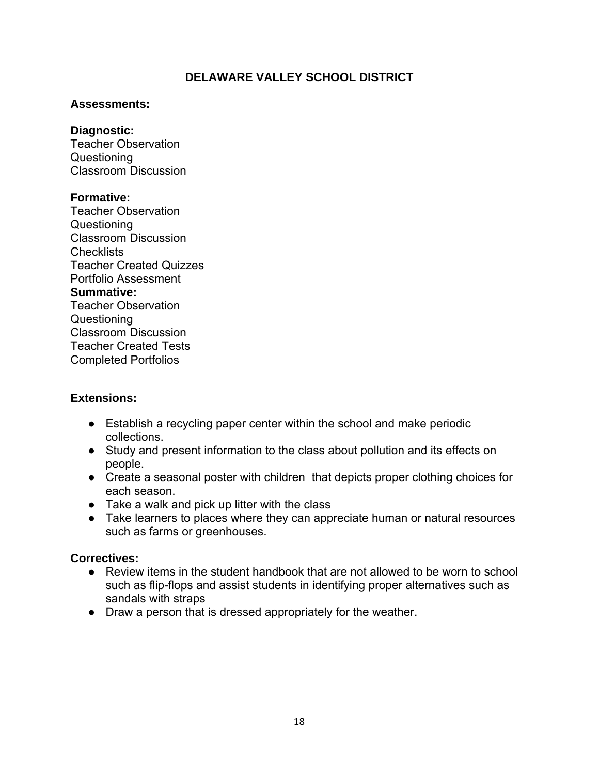#### **Assessments:**

#### **Diagnostic:**

Teacher Observation Questioning Classroom Discussion

#### **Formative:**

Teacher Observation Questioning Classroom Discussion **Checklists** Teacher Created Quizzes Portfolio Assessment **Summative:** Teacher Observation Questioning Classroom Discussion Teacher Created Tests Completed Portfolios

# **Extensions:**

- Establish a recycling paper center within the school and make periodic collections.
- Study and present information to the class about pollution and its effects on people.
- Create a seasonal poster with children that depicts proper clothing choices for each season.
- Take a walk and pick up litter with the class
- Take learners to places where they can appreciate human or natural resources such as farms or greenhouses.

# **Correctives:**

- Review items in the student handbook that are not allowed to be worn to school such as flip-flops and assist students in identifying proper alternatives such as sandals with straps
- Draw a person that is dressed appropriately for the weather.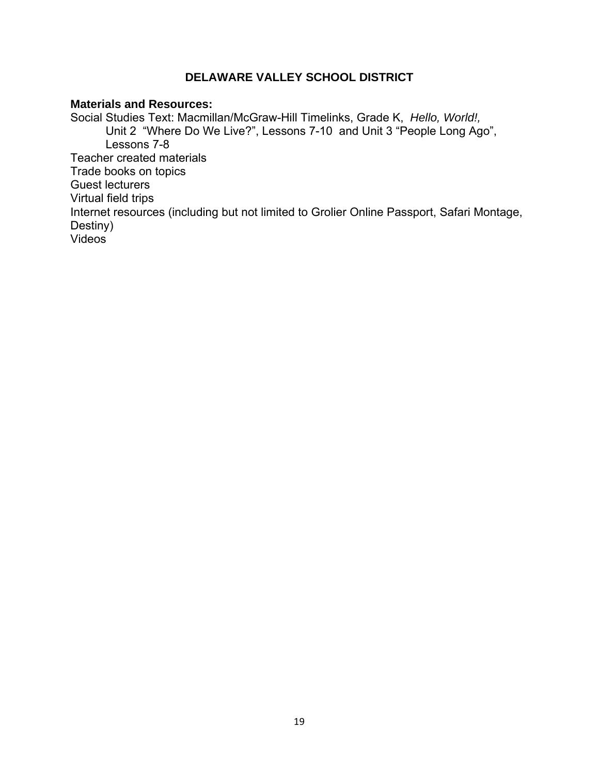#### **Materials and Resources:**

Social Studies Text: Macmillan/McGraw-Hill Timelinks, Grade K, *Hello, World!,*  Unit 2 "Where Do We Live?", Lessons 7-10 and Unit 3 "People Long Ago", Lessons 7-8 Teacher created materials Trade books on topics Guest lecturers Virtual field trips Internet resources (including but not limited to Grolier Online Passport, Safari Montage, Destiny) Videos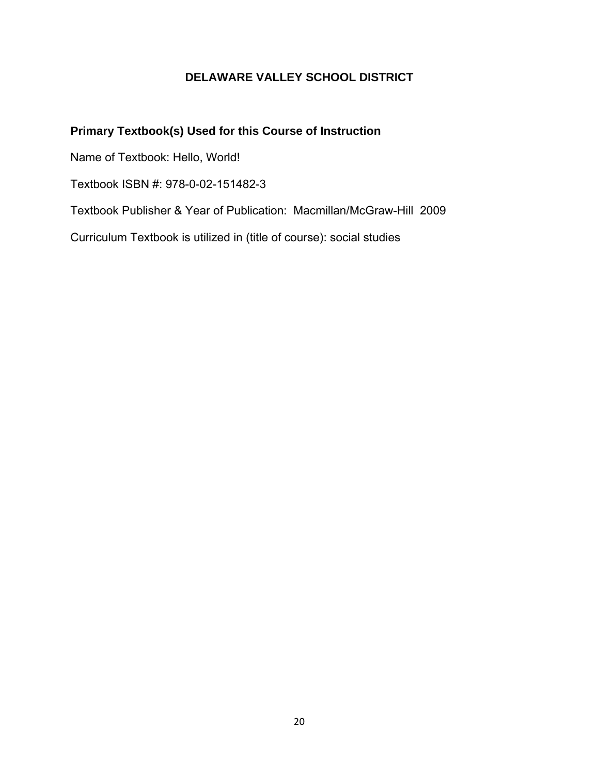# **Primary Textbook(s) Used for this Course of Instruction**

Name of Textbook: Hello, World!

Textbook ISBN #: 978-0-02-151482-3

Textbook Publisher & Year of Publication: Macmillan/McGraw-Hill 2009

Curriculum Textbook is utilized in (title of course): social studies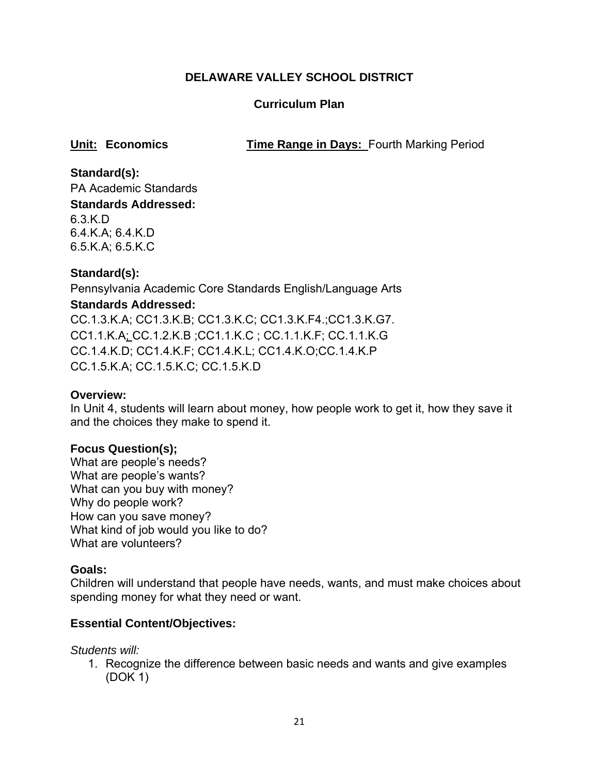# **Curriculum Plan**

**Unit: Economics Time Range in Days: Fourth Marking Period** 

**Standard(s):**  PA Academic Standards **Standards Addressed:**  6.3.K.D 6.4.K.A; 6.4.K.D 6.5.K.A; 6.5.K.C

# **Standard(s):**

Pennsylvania Academic Core Standards English/Language Arts **Standards Addressed:**  CC.1.3.K.A; CC1.3.K.B; CC1.3.K.C; CC1.3.K.F4.;CC1.3.K.G7. CC1.1.K.A; CC.1.2.K.B ;CC1.1.K.C ; CC.1.1.K.F; CC.1.1.K.G CC.1.4.K.D; CC1.4.K.F; CC1.4.K.L; CC1.4.K.O;CC.1.4.K.P CC.1.5.K.A; CC.1.5.K.C; CC.1.5.K.D

#### **Overview:**

In Unit 4, students will learn about money, how people work to get it, how they save it and the choices they make to spend it.

#### **Focus Question(s);**

What are people's needs? What are people's wants? What can you buy with money? Why do people work? How can you save money? What kind of job would you like to do? What are volunteers?

#### **Goals:**

Children will understand that people have needs, wants, and must make choices about spending money for what they need or want.

# **Essential Content/Objectives:**

*Students will:*

1. Recognize the difference between basic needs and wants and give examples (DOK 1)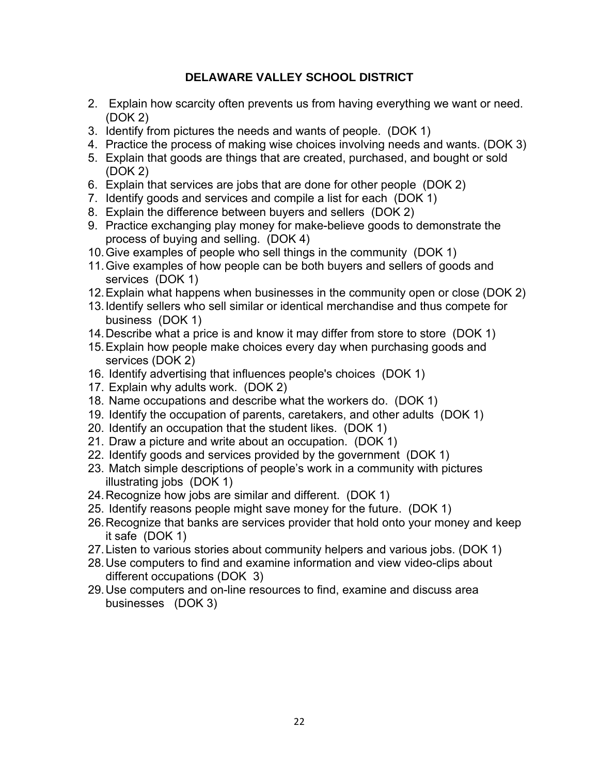- 2. Explain how scarcity often prevents us from having everything we want or need. (DOK 2)
- 3. Identify from pictures the needs and wants of people. (DOK 1)
- 4. Practice the process of making wise choices involving needs and wants. (DOK 3)
- 5. Explain that goods are things that are created, purchased, and bought or sold (DOK 2)
- 6. Explain that services are jobs that are done for other people (DOK 2)
- 7. Identify goods and services and compile a list for each (DOK 1)
- 8. Explain the difference between buyers and sellers (DOK 2)
- 9. Practice exchanging play money for make-believe goods to demonstrate the process of buying and selling. (DOK 4)
- 10. Give examples of people who sell things in the community (DOK 1)
- 11. Give examples of how people can be both buyers and sellers of goods and services (DOK 1)
- 12. Explain what happens when businesses in the community open or close (DOK 2)
- 13. Identify sellers who sell similar or identical merchandise and thus compete for business (DOK 1)
- 14. Describe what a price is and know it may differ from store to store (DOK 1)
- 15. Explain how people make choices every day when purchasing goods and services (DOK 2)
- 16. Identify advertising that influences people's choices (DOK 1)
- 17. Explain why adults work. (DOK 2)
- 18. Name occupations and describe what the workers do. (DOK 1)
- 19. Identify the occupation of parents, caretakers, and other adults (DOK 1)
- 20. Identify an occupation that the student likes. (DOK 1)
- 21. Draw a picture and write about an occupation. (DOK 1)
- 22. Identify goods and services provided by the government (DOK 1)
- 23. Match simple descriptions of people's work in a community with pictures illustrating jobs (DOK 1)
- 24. Recognize how jobs are similar and different. (DOK 1)
- 25. Identify reasons people might save money for the future. (DOK 1)
- 26. Recognize that banks are services provider that hold onto your money and keep it safe (DOK 1)
- 27. Listen to various stories about community helpers and various jobs. (DOK 1)
- 28. Use computers to find and examine information and view video-clips about different occupations (DOK 3)
- 29. Use computers and on-line resources to find, examine and discuss area businesses (DOK 3)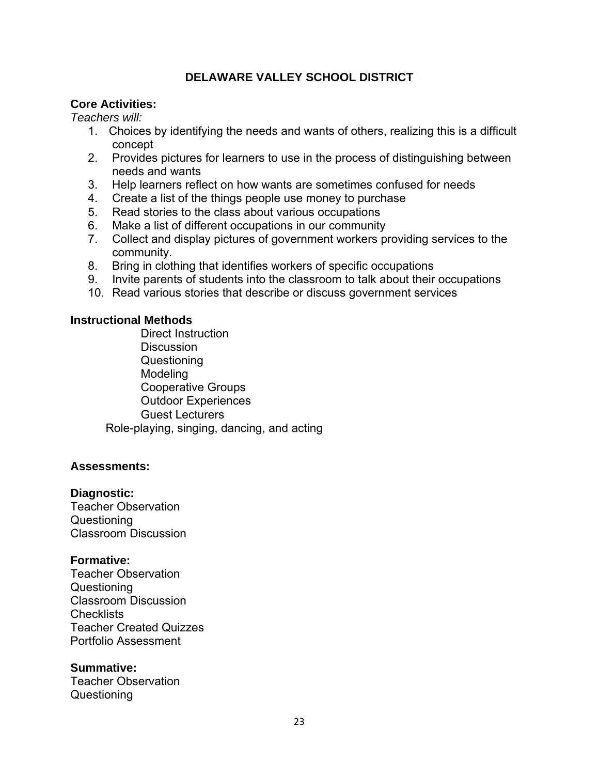#### **Core Activities:**

*Teachers will:*

- 1. Choices by identifying the needs and wants of others, realizing this is a difficult concept
- 2. Provides pictures for learners to use in the process of distinguishing between needs and wants
- 3. Help learners reflect on how wants are sometimes confused for needs
- 4. Create a list of the things people use money to purchase
- 5. Read stories to the class about various occupations
- 6. Make a list of different occupations in our community
- 7. Collect and display pictures of government workers providing services to the community.
- 8. Bring in clothing that identifies workers of specific occupations
- 9. Invite parents of students into the classroom to talk about their occupations
- 10. Read various stories that describe or discuss government services

#### **Instructional Methods**

Direct Instruction **Discussion Questioning** Modeling Cooperative Groups Outdoor Experiences Guest Lecturers Role-playing, singing, dancing, and acting

#### **Assessments:**

#### **Diagnostic:**

Teacher Observation Questioning Classroom Discussion

#### **Formative:**

Teacher Observation Questioning Classroom Discussion **Checklists** Teacher Created Quizzes Portfolio Assessment

#### **Summative:**

Teacher Observation Questioning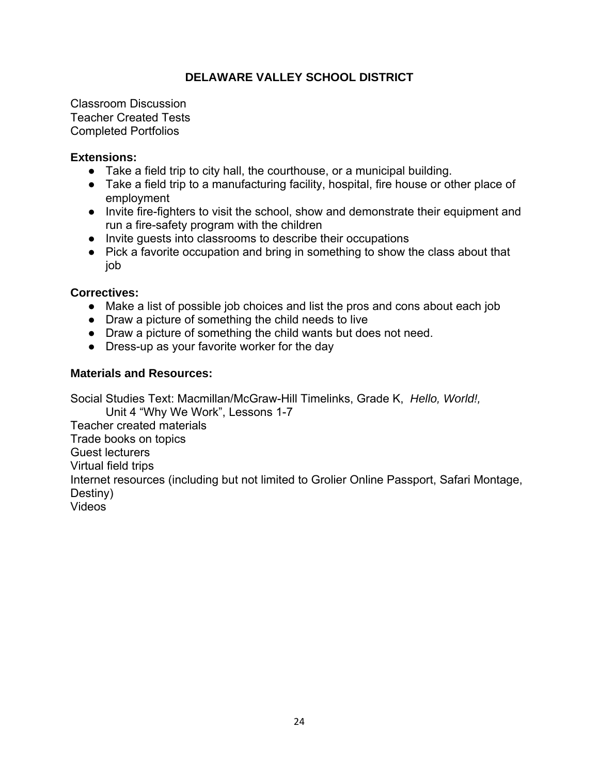Classroom Discussion Teacher Created Tests Completed Portfolios

#### **Extensions:**

- Take a field trip to city hall, the courthouse, or a municipal building.
- Take a field trip to a manufacturing facility, hospital, fire house or other place of employment
- Invite fire-fighters to visit the school, show and demonstrate their equipment and run a fire-safety program with the children
- Invite guests into classrooms to describe their occupations
- Pick a favorite occupation and bring in something to show the class about that job

#### **Correctives:**

- Make a list of possible job choices and list the pros and cons about each job
- Draw a picture of something the child needs to live
- Draw a picture of something the child wants but does not need.
- Dress-up as your favorite worker for the day

#### **Materials and Resources:**

Social Studies Text: Macmillan/McGraw-Hill Timelinks, Grade K, *Hello, World!,*  Unit 4 "Why We Work", Lessons 1-7 Teacher created materials Trade books on topics Guest lecturers Virtual field trips Internet resources (including but not limited to Grolier Online Passport, Safari Montage, Destiny) Videos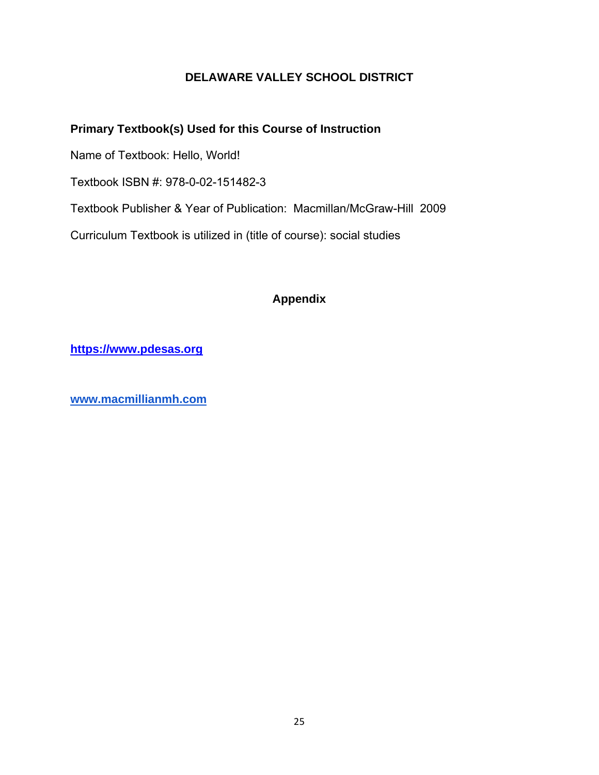# **Primary Textbook(s) Used for this Course of Instruction**

Name of Textbook: Hello, World!

Textbook ISBN #: 978-0-02-151482-3

Textbook Publisher & Year of Publication: Macmillan/McGraw-Hill 2009

Curriculum Textbook is utilized in (title of course): social studies

# **Appendix**

**https://www.pdesas.org**

**www.macmillianmh.com**